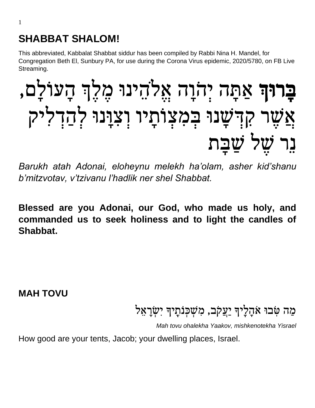## **SHABBAT SHALOM!**

This abbreviated, Kabbalat Shabbat siddur has been compiled by Rabbi Nina H. Mandel, for Congregation Beth El, Sunbury PA, for use during the Corona Virus epidemic, 2020/5780, on FB Live Streaming.

# בָרוּךְ אַתָּה יִהֹוָה אֵלֹהֶינוּ מֵלֵךְ הָעוֹלָם, אֲשֶ רְקִ דְ שָּ נּוְבְ מִ צְ וֹ תָּ יוְוְ צִ ּוָּנּוְלְ הַ דְ לִ יקְ נר שַׁל שֲבַת

*Barukh atah Adonai, eloheynu melekh ha'olam, asher kid'shanu b'mitzvotav, v'tzivanu l'hadlik ner shel Shabbat.*

**Blessed are you Adonai, our God, who made us holy, and commanded us to seek holiness and to light the candles of Shabbat.**

**MAH TOVU**

## מַה טִּבוּ אֹהָלֵיךְ יַעֲקֹב, מִשְׁכְּנֹתָיךְ יִשְׂרָאֵל

*Mah tovu ohalekha Yaakov, mishkenotekha Yisrael*

How good are your tents, Jacob; your dwelling places, Israel.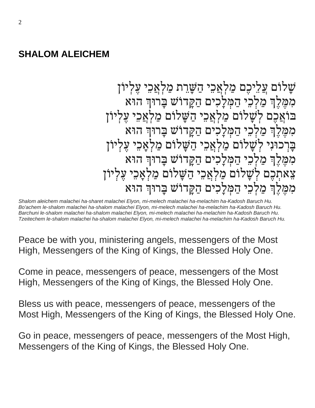#### **SHALOM ALEICHEM**

שַׁלוֹם עֲלֵיכֶם מַלְאֲכֵי הַשָּׁרֵת מַלְאֲכֵי עִלְיוֹן מִמֶּלֶךְ מַלְכֵי הַמִּלָכִים הַקַּדוֹשׁ בַּרוּךְ הוּא בּוֹאֲכֶם לְשָׁלוֹם מַלְאֲכֵי הַשָּׁלוֹם מַלְאֲכֵי עָלְיוֹן מִמֶּלֶךְ מַלְכֵי הַמִּלַכִים הַקַּדוֹשׁ בַּרוּךְ הוּא בַּרְכוּנִי לְשַׁלוֹם מַלְאֲכֵי הַשַּׁלוֹם מַלְאֲכֵי עָלְיוֹן מְמֶלֶךְ מַלְכֵי הַמְּלַכְים הַקַּדוֹשׁ בַּרוּךְ הוּא צֵאתִכֵם לְשָׁלוֹם מַלְאֲכֵי הַשַּׁלוֹם מַלְאַכֵי עַלְיוֹן מְמֶלֶךְ מַלְכֵי הַמְּלַכְים הַקַּדוֹשׁ בַּרוּךְ הוּא

*Shalom aleichem malachei ha-sharet malachei Elyon, mi-melech malachei ha-melachim ha-Kadosh Baruch Hu. Bo'achem le-shalom malachei ha-shalom malachei Elyon, mi-melech malachei ha-melachim ha-Kadosh Baruch Hu. Barchuni le-shalom malachei ha-shalom malachei Elyon, mi-melech malachei ha-melachim ha-Kadosh Baruch Hu. Tzeitechem le-shalom malachei ha-shalom malachei Elyon, mi-melech malachei ha-melachim ha-Kadosh Baruch Hu.*

Peace be with you, ministering angels, messengers of the Most High, Messengers of the King of Kings, the Blessed Holy One.

Come in peace, messengers of peace, messengers of the Most High, Messengers of the King of Kings, the Blessed Holy One.

Bless us with peace, messengers of peace, messengers of the Most High, Messengers of the King of Kings, the Blessed Holy One.

Go in peace, messengers of peace, messengers of the Most High, Messengers of the King of Kings, the Blessed Holy One.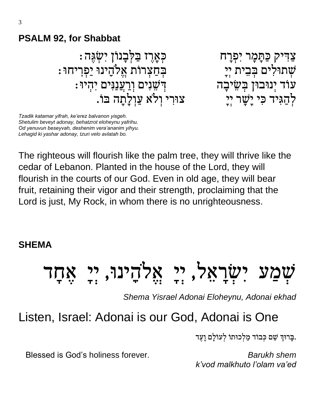## **PSALM 92, for Shabbat**

צַ דִ יקְכַתָּ מָּ רְיִ פְ רָּ ח כְ אֶֹּֽ רֶ זְבַ לְ בָּ נוֹ ןְיִ שְ גֶה: : שְׁתוּלִים בְּבִית יְיָ ּעֹוֹד יְנוּבוּן בְּשֵׂיבָה החוות הַ דְּשָׁנִים וְרַעֲנַנִּים יְהִיוּ : לְהַגִּיד כִּי יַשָׁר יִיַ יִּ צִוּיְרִי וְלֹאָ עֲוְלַתַּה בּוֹ.

*Tzadik katamar yifrah, ke'erez balvanon yisgeh. Shetulim beveyt adonay, behatzrot eloheynu yafrihu. Od yenuvun beseyvah, deshenim vera'ananim yihyu. Lehagid ki yashar adonay, tzuri velo avlatah bo.*

The righteous will flourish like the palm tree, they will thrive like the cedar of Lebanon. Planted in the house of the Lord, they will flourish in the courts of our God. Even in old age, they will bear fruit, retaining their vigor and their strength, proclaiming that the Lord is just, My Rock, in whom there is no unrighteousness.

#### **SHEMA**

# יְשָׂרָאָל, יִי אֵלְהֵינוּ, יִי

*Shema Yisrael Adonai Eloheynu, Adonai ekhad*

# Listen, Israel: Adonai is our God, Adonai is One

בִּרוּךְ שֵׁם כְּבוֹד מַלְכוּתוֹ לְעוֹלַם וַעֲד.

Blessed is God's holiness forever. **Barukh shem Barukh shem** 

*k'vod malkhuto l'olam va'ed*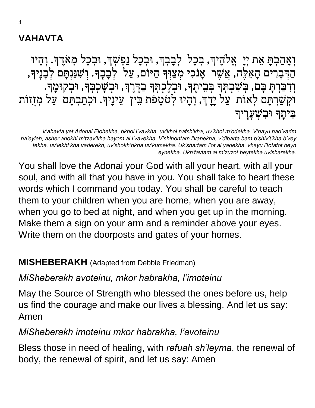## **VAHAVTA**

וְאָהַבְתָּ אִת יְיָ אֱלֹהֶיךָ, בְּכָל לְבָבְךָ, וּבְכָל נַפְשְׁךָ, וּבְכָל מְאֹדֶךָ. וְהָיוּ ְהַדְּבָרִים הָאֲלֶה, אֲשֶׁר אָנֹכִי מְצַוִּךְ הַיּוֹם, עַל לְבָבֶךָ. וְשָׁנַּנְתָּם לְבָנָיךָ, וְ דִבַּרְתָּ בָּם, בְּשִׁבְתְּךָ בְּבִיתָךָ, וּבְלֶכְתְּךָ בַדָּיֶרְןּ, וּבְשָׁכְבְּךָ, וּבְקוּמֶךָּ. ּוקְ שַ רְ תָּ םְלְ אוֹ תְְעַ לְיָּדֶֹּֽ ָךְ,וְ הָּ יּוְלְ טֹ טָּ פֹ תְבֵ יןְְעֵ ינֶֹּֽ יָךְּ.וכְ תַ בְ תָּ םְְעַ לְמְ זֻזוֹ תְ ַבִּיתִךְ וִּבְשַׁעַרִיךָ

*V'ahavta yet Adonai Elohekha, bkhol l'vavkha, uv'khol nafsh'kha, uv'khol m'odekha. V'hayu had'varim ha'eyleh, asher anokhi m'tzav'kha hayom al l'vavekha. V'shinontam l'vanekha, v'dibarta bam b'shiv't'kha b'vey tekha, uv'lekht'kha vaderekh, uv'shokh'bkha uv'kumekha. Uk'shartam l'ot al yadekha, vhayu l'totafot beyn eynekha. Ukh'tavtam al m'zuzot beytekha uvisharekha.*

You shall love the Adonai your God with all your heart, with all your soul, and with all that you have in you. You shall take to heart these words which I command you today. You shall be careful to teach them to your children when you are home, when you are away, when you go to bed at night, and when you get up in the morning. Make them a sign on your arm and a reminder above your eyes. Write them on the doorposts and gates of your homes.

#### **MISHEBERAKH** (Adapted from Debbie Friedman)

#### *MiSheberakh avoteinu, mkor habrakha, l'imoteinu*

May the Source of Strength who blessed the ones before us, help us find the courage and make our lives a blessing. And let us say: Amen

## *MiSheberakh imoteinu mkor habrakha, l'avoteinu*

Bless those in need of healing, with *refuah sh'leyma*, the renewal of body, the renewal of spirit, and let us say: Amen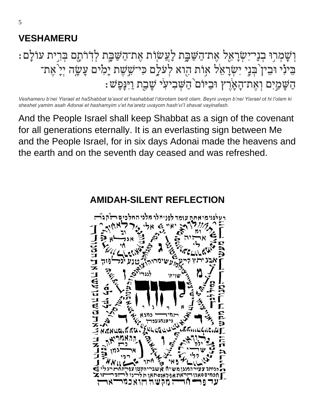## **VESHAMERU**

# וְשָׁמְרִוּ בְנֵי־יִשְׂרָאֵל אֶת־הַשַּׁבֵֶּת לַעֲשׂוָׂת אֶת־הַשַּׁבֵֶּת לְדִׂרֹתָם בְּרִית עוֹלַם : בִינִי וּבִין בִּנֵי יִשְׂרָאֵׂל אָוֹת הִוא לִעֹּלַם כִּי־שֵׁשֶׁת יָמִים עֲשֶׂה יִיָ אֵת־ ּהַשָּׁמַיִם וְאֵת־הָאָׂרֵץ וּבַיּוֹם<sup>י</sup>הַשִּׁבִיעִ*יׁ שָׁבֵ*ת וַיִּנָּפָּשׁ:

*Veshameru b'nei Yisrael et haShabbat la'asot et hashabbat l'dorotam berit olam. Beyni uveyn b'nei Yisrael ot hi l'olam ki sheshet yamim asah Adonai et hashamyim v'et ha'aretz uvayom hash'vi'I shavat vayinafash.*

And the People Israel shall keep Shabbat as a sign of the covenant for all generations eternally. It is an everlasting sign between Me and the People Israel, for in six days Adonai made the heavens and the earth and on the seventh day ceased and was refreshed.

#### **AMIDAH-SILENT REFLECTION**

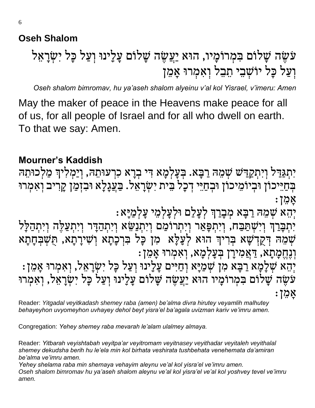#### **Oseh Shalom**

# עֹשֶׂה שָׁלוֹם בִּמְרוֹמָיו, הוּא יַעֲשֶׂה שָׁלוֹם עָלָינוּ וְעַל כָּל*ִ* יִשְׂרָאֵל וְעַל כַּלְ יוֹשָׁבֵי תֵבֵל וְאִמְרוּ אֲמֵן

*Oseh shalom bimromav, hu ya'aseh shalom alyeinu v'al kol Yisrael, v'imeru: Amen*

May the maker of peace in the Heavens make peace for all of us, for all people of Israel and for all who dwell on earth. To that we say: Amen.

## ְְ**Mourner's Kaddish**

יִתְגַּדַל וְיִתְקַדַּשׁ שִׁמֵהּ רַבָּא. בִּעֲלְמָא דִּי בִרָא כִרְעוּתֵהּ, וְיַמְלִיךָ מַלְכוּתֵהּ בְּחַיֵּיכוֹן וּבְיוֹמֵיכוֹן וּבְחַיֵּי דְכָלֹ בֵּית יִשְׂרָאֵל. בַּעֲגָלָא וּבִזְמַן קָרִיב וְאִמְרוּ ָאמֵ ןְ:

יְהָא שְׁמֵהּ רַבְּא מְבָרַךְ לְעָלַם וּלִעַלְמֵי עַלְמַיָּא :

יִתְבָּרַךְּ וְיִשְׁתַּבַּח, וְיִתְפָּאַר וְיִתְרוֹמַם וְיִתְנַשֵּׂא וְיִתְהַדָּר וְיִתְעַלֵּה וְיִתְהַלָּל שְׁמֶהּ דְּקֵדְשָׁא בִּרְיךָ הוּא לְעֲלָּא מִן כָּל בְּרְכָתָא וְשִׁירָתָא, תְּשִׁבְּחָתָא וְנֶחֱמָתָא, <u>ד</u>ְאֲמִירָן בְּעָלְמָא, וְאִמְרוּ אָמֵן: יְהֵא שְׁלָמָא רַבְּא מִן שְׁמַיָּא וְחַיִּים עָלָינוּ וְעַל כָּל יִשְׂרָאִל, וְאִמְרוּ אָמֵן :

עֹשֶׂה שַׁלוֹם בִּמְרוֹמַיו הוּא יַעֲשֶׂה שַׁלוֹם עַלֵינוּ וְעַל כַּל*ִ* יְשָׂרַאֲל, וְאִמְרוּ ָאמֵ ן:

Reader: *Yitgadal veyitkadash shemey raba (amen) be'alma divra hirutey veyamlih malhutey behayeyhon uvyomeyhon uvhayey dehol beyt yisra'el ba'agala uvizman kariv ve'imru amen.*

Congregation: *Yehey shemey raba mevarah le'alam ulalmey almaya.*

Reader: *Yitbarah veyishtabah veyitpa'ar veyitromam veyitnasey veyithadar veyitaleh veyithalal shemey dekudsha berih hu le'ela min kol birhata veshirata tushbehata venehemata da'amiran be'alma ve'imru amen.*

*Yehey shelama raba min shemaya vehayim aleynu ve'al kol yisra'el ve'imru amen. Oseh shalom bimromav hu ya'aseh shalom aleynu ve'al kol yisra'el ve'al kol yoshvey tevel ve'imru amen.*